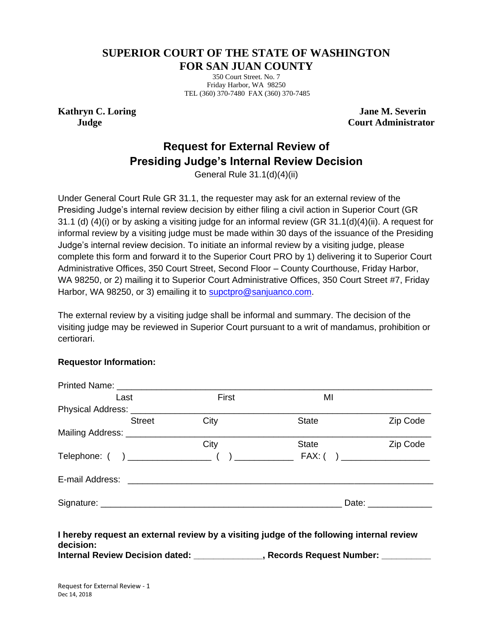## **SUPERIOR COURT OF THE STATE OF WASHINGTON FOR SAN JUAN COUNTY**

350 Court Street. No. 7 Friday Harbor, WA 98250 TEL (360) 370-7480 FAX (360) 370-7485

**Kathryn C. Loring Judge**

 **Jane M. Severin Court Administrator**

## **Request for External Review of Presiding Judge's Internal Review Decision**

General Rule 31.1(d)(4)(ii)

Under General Court Rule GR 31.1, the requester may ask for an external review of the Presiding Judge's internal review decision by either filing a civil action in Superior Court (GR 31.1 (d) (4)(i) or by asking a visiting judge for an informal review (GR 31.1(d)(4)(ii). A request for informal review by a visiting judge must be made within 30 days of the issuance of the Presiding Judge's internal review decision. To initiate an informal review by a visiting judge, please complete this form and forward it to the Superior Court PRO by 1) delivering it to Superior Court Administrative Offices, 350 Court Street, Second Floor – County Courthouse, Friday Harbor, WA 98250, or 2) mailing it to Superior Court Administrative Offices, 350 Court Street #7, Friday Harbor, WA 98250, or 3) emailing it to [supctpro@sanjuanco.com.](mailto:supctpro@sanjuanco.com)

The external review by a visiting judge shall be informal and summary. The decision of the visiting judge may be reviewed in Superior Court pursuant to a writ of mandamus, prohibition or certiorari.

## **Requestor Information:**

| Last                                                                                                  | First | MI                     |          |  |
|-------------------------------------------------------------------------------------------------------|-------|------------------------|----------|--|
|                                                                                                       |       |                        |          |  |
| <b>Street</b>                                                                                         | City  | <b>State</b>           | Zip Code |  |
| Mailing Address: Mailing Address:                                                                     |       |                        |          |  |
|                                                                                                       | City  | State                  | Zip Code |  |
|                                                                                                       |       |                        |          |  |
| E-mail Address: <u>__________________________</u>                                                     |       |                        |          |  |
|                                                                                                       |       | Date: ________________ |          |  |
| I hereby request an external review by a visiting judge of the following internal review<br>decision: |       |                        |          |  |

**Internal Review Decision dated:**  $\qquad \qquad$ **, Records Request Number:**